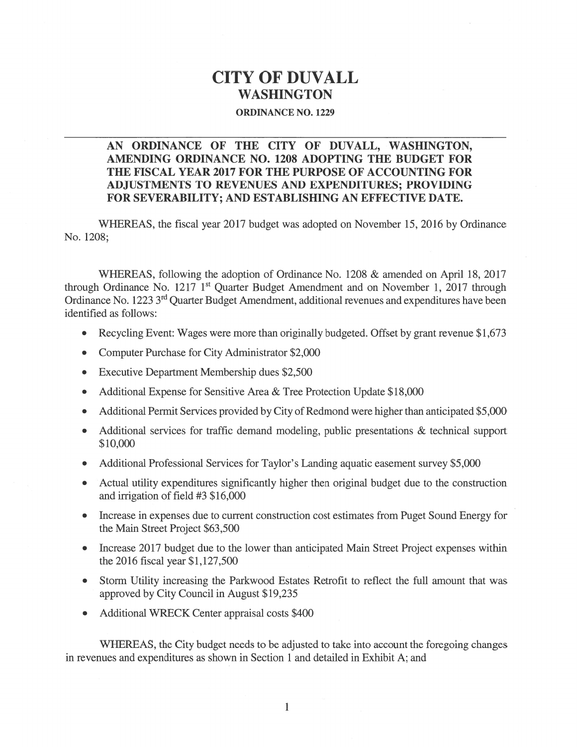# CITY OF DUVALL WASHINGTON

#### ORDINANCE NO. 1229

### AN ORDINANCE Of THE CITY Of DUVALL, WASHINGTON, AMENDING ORDINANCE NO. 1208 ADOPTING THE BUDGET fOR THE FISCAL YEAR 2017 FOR THE PURPOSE Of ACCOUNTING FOR ADJUSTMENTS TO REVENUES AND EXPENDITURES; PROVIDING FOR SEVERABILITY; AND ESTABLISHING AN EFFECTIVE DATE.

WHEREAS, the fiscal year 2017 budget was adopted on November 15, 2016 by Ordinance No. 120\$;

WHEREAS, following the adoption of Ordinance No. 1208 & amended on April 18, 2017 through Ordinance No. 1217 1<sup>st</sup> Quarter Budget Amendment and on November 1, 2017 through Ordinance No. 1223 3<sup>rd</sup> Ouarter Budget Amendment, additional revenues and expenditures have been identified as follows:

- Recycling Event: Wages were more than originally budgeted. Offset by grant revenue \$1,673
- . Computer Purchase for City Administrator \$2,000
- . Executive Department Membership dues \$2,500
- . Additional Expense for Sensitive Area & Tree Protection Update \$1\$,000
- . Additional Permit Services provided by City of Redmond were higher than anticipated \$5,000
- . Additional services for traffic demand modeling, public presentations & technical suppor<sup>t</sup> \$10,000
- . Additional Professional Services for Taylor's Landing aquatic easement survey \$5,000
- . Actual utility expenditures significantly higher then original budget due to the construction and irrigation of field #3 \$16,000
- . Increase in expenses due to current construction cost estimates from Puget Sound Energy for the Main Street Project \$63,500
- . Increase 2017 budget due to the lower than anticipated Main Street Project expenses within the 2016 fiscal year \$1,127,500
- . Storm Utility increasing the Parkwood Estates Retrofit to reflect the full amount that was approved by City Council in August \$19,235
- . Additional WRECK Center appraisal costs \$400

WHEREAS, the City budget needs to be adjusted to take into account the foregoing changes in revenues and expenditures as shown in Section 1 and detailed in Exhibit A; and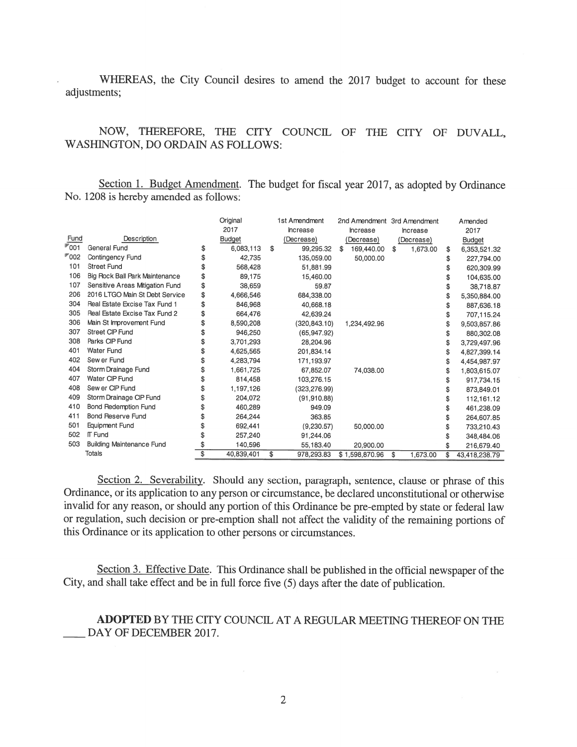WHEREAS, the City Council desires to amend the <sup>2017</sup> budget to account for these adjustments;

#### NOW, THEREFORE, THE CITY COUNCIL OF THE CITY OF DUVALL, WASHINGTON, DO ORDAIN AS FOLLOWS:

Section 1. Budget Amendment. The budget for fiscal year 2017, as adopted by Ordinance No. 1208 is hereby amended as follows:

|                    |                                 | Original         | 1st Amendment    | 2nd Amendment 3rd Amendment |            |            | Amended             |
|--------------------|---------------------------------|------------------|------------------|-----------------------------|------------|------------|---------------------|
|                    |                                 | 2017             | Increase         | Increase                    | Increase   |            | 2017                |
| Fund               | Description                     | Budget           | (Decrease)       | (Decrease)                  | (Decrease) |            | Budget              |
| $\mathbb{F}_{001}$ | General Fund                    | 6,083,113        | \$<br>99,295.32  | 169,440.00<br>\$            | \$         | 1,673.00   | \$<br>6,353,521.32  |
| <b>™002</b>        | Contingency Fund                | \$<br>42,735     | 135,059.00       | 50,000.00                   |            |            | \$<br>227,794.00    |
| 101                | <b>Street Fund</b>              | 568,428          | 51,881.99        |                             |            |            | 620,309.99          |
| 106                | Big Rock Ball Park Maintenance  | \$<br>89,175     | 15,460.00        |                             |            |            | 104,635.00          |
| 107                | Sensitive Areas Mitigation Fund | \$<br>38,659     | 59.87            |                             |            |            | 38,718.87           |
| 206                | 2016 LTGO Main St Debt Service  | \$<br>4,666,546  | 684,338.00       |                             |            |            | 5,350,884.00        |
| 304                | Real Estate Excise Tax Fund 1   | \$<br>846,968    | 40.668.18        |                             |            |            | 887,636.18          |
| 305                | Real Estate Excise Tax Fund 2   | \$<br>664,476    | 42,639.24        |                             |            |            | 707,115.24          |
| 306                | Main St Improvement Fund        | 8,590,208        | (320.843.10)     | 1,234,492.96                |            |            | 9,503,857.86        |
| 307                | Street CIP Fund                 | 946,250          | (65.947.92)      |                             |            |            | 880,302.08          |
| 308                | Parks CIP Fund                  | 3,701,293        | 28,204.96        |                             |            |            | 3,729,497.96        |
| 401                | <b>Water Fund</b>               | 4,625,565        | 201.834.14       |                             |            |            | \$<br>4,827,399.14  |
| 402                | Sew er Fund                     | 4,283,794        | 171,193.97       |                             |            |            | \$<br>4,454,987.97  |
| 404                | Storm Drainage Fund             | 1,661,725        | 67,852.07        | 74,038.00                   |            |            | 1,803,615.07        |
| 407                | Water CIP Fund                  | 814,458          | 103.276.15       |                             |            | 917,734.15 |                     |
| 408                | Sew er CIP Fund                 | 1,197,126        | (323, 276.99)    |                             |            |            | 873,849.01          |
| 409                | Storm Drainage CIP Fund         | 204,072          | (91, 910.88)     |                             |            |            | 112,161.12          |
| 410                | Bond Redemption Fund            | 460,289          | 949.09           |                             |            |            | 461,238.09          |
| 411                | Bond Reserve Fund               | 264,244          | 363.85           |                             |            |            | 264,607.85          |
| 501                | Equipment Fund                  | 692,441          | (9,230.57)       | 50,000.00                   |            |            | 733,210.43          |
| 502                | IT Fund                         | 257,240          | 91,244.06        |                             |            |            | 348,484.06          |
| 503                | Building Maintenance Fund       | 140,596          | 55,183.40        | 20,900.00                   |            |            | 216,679.40          |
| Totals             |                                 | \$<br>40,839,401 | \$<br>978,293.83 | \$1,598,870.96              | \$         | 1,673.00   | \$<br>43,418,238.79 |

Section 2. Severability. Should any section, paragraph, sentence, clause or phrase of this Ordinance, or its application to any person or circumstance, be declared unconstitutional or otherwise invalid for any reason, or should any portion of this Ordinance be pre-empted by state or federal law or regulation, such decision or pre-emption shall not affect the validity of the remaining portions of this Ordinance or its application to other persons or circumstances.

Section 3. Effective Date. This Ordinance shall be published in the official newspaper of the City, and shall take effect and be in full force five (5) days after the date of publication.

### ADOPTED BY THE CITY COUNCIL AT A REGULAR MEETING THEREOF ON THE DAY OF DECEMBER 2017.

 $\overline{\phantom{a}}$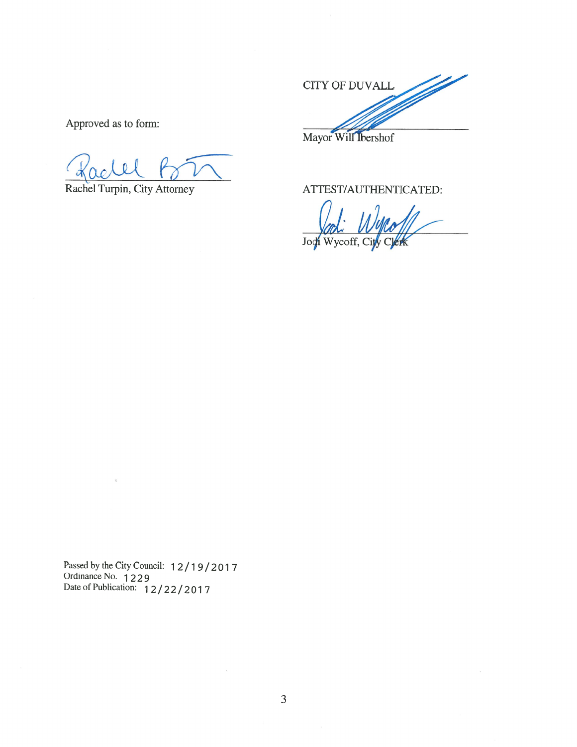1 p CITY OF DUVALL Mayor Will Ibershof

Approved as to form:

Rachel Turpin, City Attorney

ATTEST/AUTHENTICATED:

Wycoff, City Joch

Passed by the City Council: 12/19/2017<br>Ordinance No. 1229<br>Date of Publication: 12/22/2017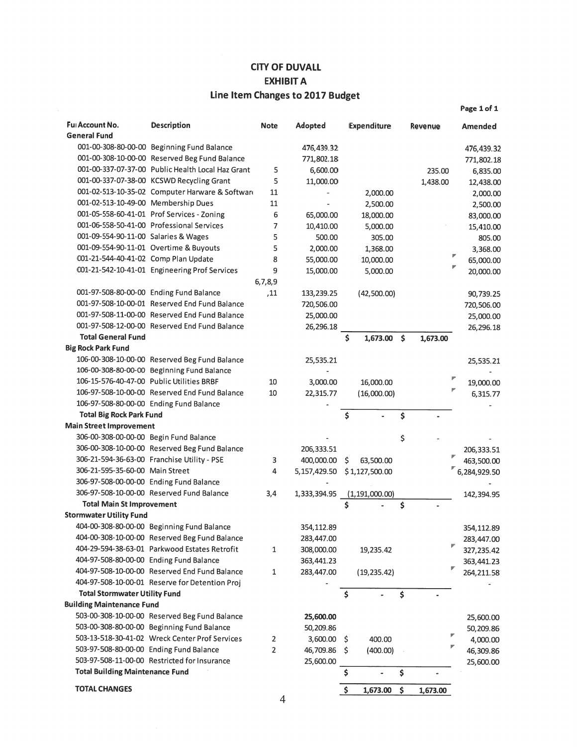## **CITY OF DUVALL EXHIBIT A** Line Item Changes to 2017 Budget

| Ful Account No.<br><b>General Fund</b>    | <b>Description</b>                                | <b>Note</b>    | <b>Adopted</b> |           | <b>Expenditure</b> | Revenue        |   | Amended      |
|-------------------------------------------|---------------------------------------------------|----------------|----------------|-----------|--------------------|----------------|---|--------------|
|                                           | 001-00-308-80-00-00 Beginning Fund Balance        |                | 476,439.32     |           |                    |                |   | 476,439.32   |
|                                           | 001-00-308-10-00-00 Reserved Beg Fund Balance     |                | 771,802.18     |           |                    |                |   | 771,802.18   |
|                                           | 001-00-337-07-37-00 Public Health Local Haz Grant | 5              | 6,600.00       |           |                    | 235.00         |   | 6,835.00     |
|                                           | 001-00-337-07-38-00 KCSWD Recycling Grant         | 5              | 11,000.00      |           |                    | 1,438.00       |   | 12,438.00    |
|                                           | 001-02-513-10-35-02 Computer Harware & Softward   | 11             |                |           | 2,000.00           |                |   | 2,000.00     |
| 001-02-513-10-49-00 Membership Dues       |                                                   | 11             | ÷,             |           | 2,500.00           |                |   | 2,500.00     |
|                                           | 001-05-558-60-41-01 Prof Services - Zoning        | 6              | 65,000.00      |           | 18,000.00          |                |   | 83,000.00    |
|                                           | 001-06-558-50-41-00 Professional Services         | 7              | 10,410.00      |           | 5,000.00           |                |   | 15,410.00    |
| 001-09-554-90-11-00 Salaries & Wages      |                                                   | 5              | 500.00         |           | 305.00             |                |   | 805.00       |
|                                           | 001-09-554-90-11-01 Overtime & Buyouts            | 5              | 2,000.00       |           | 1,368.00           |                |   | 3,368.00     |
| 001-21-544-40-41-02 Comp Plan Update      |                                                   | 8              | 55,000.00      |           | 10,000.00          |                |   | 65,000.00    |
|                                           | 001-21-542-10-41-01 Engineering Prof Services     | 9              | 15,000.00      |           | 5,000.00           |                |   | 20,000.00    |
|                                           |                                                   | 6,7,8,9        |                |           |                    |                |   |              |
|                                           | 001-97-508-80-00-00 Ending Fund Balance           | ,11            | 133,239.25     |           | (42,500.00)        |                |   | 90,739.25    |
|                                           | 001-97-508-10-00-01 Reserved End Fund Balance     |                | 720,506.00     |           |                    |                |   | 720,506.00   |
|                                           | 001-97-508-11-00-00 Reserved End Fund Balance     |                | 25,000.00      |           |                    |                |   | 25,000.00    |
|                                           | 001-97-508-12-00-00 Reserved End Fund Balance     |                | 26,296.18      |           |                    |                |   | 26,296.18    |
| <b>Total General Fund</b>                 |                                                   |                |                | Ś         | $1,673.00$ \$      | 1,673.00       |   |              |
| <b>Big Rock Park Fund</b>                 |                                                   |                |                |           |                    |                |   |              |
|                                           | 106-00-308-10-00-00 Reserved Beg Fund Balance     |                | 25,535.21      |           |                    |                |   | 25,535.21    |
|                                           | 106-00-308-80-00-00 Beginning Fund Balance        |                |                |           |                    |                |   |              |
| 106-15-576-40-47-00 Public Utilities BRBF |                                                   | 10             | 3,000.00       |           | 16,000.00          |                | ۳ | 19,000.00    |
|                                           | 106-97-508-10-00-00 Reserved End Fund Balance     | 10             | 22,315.77      |           | (16,000.00)        |                |   | 6,315.77     |
|                                           | 106-97-508-80-00-00 Ending Fund Balance           |                |                |           |                    |                |   |              |
| <b>Total Big Rock Park Fund</b>           |                                                   |                |                | \$        |                    | \$             |   |              |
| <b>Main Street Improvement</b>            |                                                   |                |                |           |                    |                |   |              |
| 306-00-308-00-00-00 Begin Fund Balance    |                                                   |                |                |           |                    | \$             |   |              |
|                                           | 306-00-308-10-00-00 Reserved Beg Fund Balance     |                | 206,333.51     |           |                    |                |   | 206,333.51   |
|                                           | 306-21-594-36-63-00 Franchise Utility - PSE       | 3              | 400,000.00     | \$        | 63,500.00          |                |   | 463,500.00   |
| 306-21-595-35-60-00 Main Street           |                                                   | 4              | 5,157,429.50   |           | \$1,127,500.00     |                |   | 6,284,929.50 |
| 306-97-508-00-00-00 Ending Fund Balance   |                                                   |                |                |           |                    |                |   |              |
|                                           | 306-97-508-10-00-00 Reserved Fund Balance         | 3,4            | 1,333,394.95   |           | (1,191,000,00)     |                |   | 142,394.95   |
| <b>Total Main St Improvement</b>          |                                                   |                |                | Ś         |                    | \$             |   |              |
| <b>Stormwater Utility Fund</b>            |                                                   |                |                |           |                    |                |   |              |
|                                           | 404-00-308-80-00-00 Beginning Fund Balance        |                | 354,112.89     |           |                    |                |   | 354,112.89   |
|                                           | 404-00-308-10-00-00 Reserved Beg Fund Balance     |                | 283,447.00     |           |                    |                |   | 283,447.00   |
|                                           | 404-29-594-38-63-01 Parkwood Estates Retrofit     | 1              | 308,000.00     |           | 19,235.42          |                | r | 327,235.42   |
| 404-97-508-80-00-00 Ending Fund Balance   |                                                   |                | 363,441.23     |           |                    |                |   | 363,441.23   |
|                                           | 404-97-508-10-00-00 Reserved End Fund Balance     | $\mathbf{1}$   | 283,447.00     |           | (19, 235.42)       |                |   | 264, 211.58  |
|                                           | 404-97-508-10-00-01 Reserve for Detention Proj    |                |                |           |                    |                |   |              |
| <b>Total Stormwater Utility Fund</b>      |                                                   |                |                | \$        |                    | \$             |   |              |
| <b>Building Maintenance Fund</b>          |                                                   |                |                |           |                    |                |   |              |
|                                           | 503-00-308-10-00-00 Reserved Beg Fund Balance     |                | 25,600.00      |           |                    |                |   | 25,600.00    |
|                                           | 503-00-308-80-00-00 Beginning Fund Balance        |                | 50,209.86      |           |                    |                |   |              |
|                                           | 503-13-518-30-41-02 Wreck Center Prof Services    | $\overline{2}$ | 3,600.00       |           | 400.00             |                |   | 50,209.86    |
| 503-97-508-80-00-00 Ending Fund Balance   |                                                   | $\overline{2}$ |                | \$<br>\$. |                    |                |   | 4,000.00     |
|                                           | 503-97-508-11-00-00 Restricted for Insurance      |                | 46,709.86      |           | (400.00)           |                |   | 46,309.86    |
| <b>Total Building Maintenance Fund</b>    |                                                   |                | 25,600.00      | \$        | $\blacksquare$     | \$             |   | 25,600.00    |
|                                           |                                                   |                |                |           |                    |                |   |              |
| <b>TOTAL CHANGES</b>                      |                                                   |                |                | \$        | 1,673.00           | \$<br>1,673.00 |   |              |